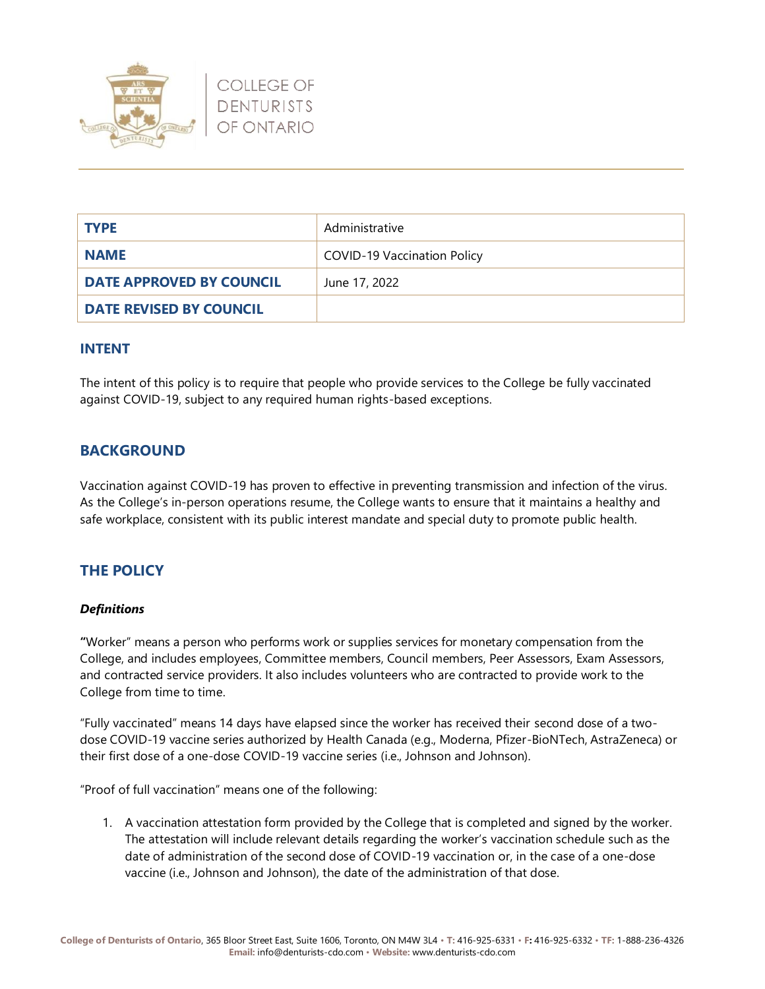

| <b>TYPE</b>              | Administrative                     |
|--------------------------|------------------------------------|
| <b>NAME</b>              | <b>COVID-19 Vaccination Policy</b> |
| DATE APPROVED BY COUNCIL | June 17, 2022                      |
| DATE REVISED BY COUNCIL  |                                    |

### **INTENT**

The intent of this policy is to require that people who provide services to the College be fully vaccinated against COVID-19, subject to any required human rights-based exceptions.

## **BACKGROUND**

Vaccination against COVID-19 has proven to effective in preventing transmission and infection of the virus. As the College's in-person operations resume, the College wants to ensure that it maintains a healthy and safe workplace, consistent with its public interest mandate and special duty to promote public health.

## **THE POLICY**

#### *Definitions*

**"**Worker" means a person who performs work or supplies services for monetary compensation from the College, and includes employees, Committee members, Council members, Peer Assessors, Exam Assessors, and contracted service providers. It also includes volunteers who are contracted to provide work to the College from time to time.

"Fully vaccinated" means 14 days have elapsed since the worker has received their second dose of a twodose COVID-19 vaccine series authorized by Health Canada (e.g., Moderna, Pfizer-BioNTech, AstraZeneca) or their first dose of a one-dose COVID-19 vaccine series (i.e., Johnson and Johnson).

"Proof of full vaccination" means one of the following:

1. A vaccination attestation form provided by the College that is completed and signed by the worker. The attestation will include relevant details regarding the worker's vaccination schedule such as the date of administration of the second dose of COVID-19 vaccination or, in the case of a one-dose vaccine (i.e., Johnson and Johnson), the date of the administration of that dose.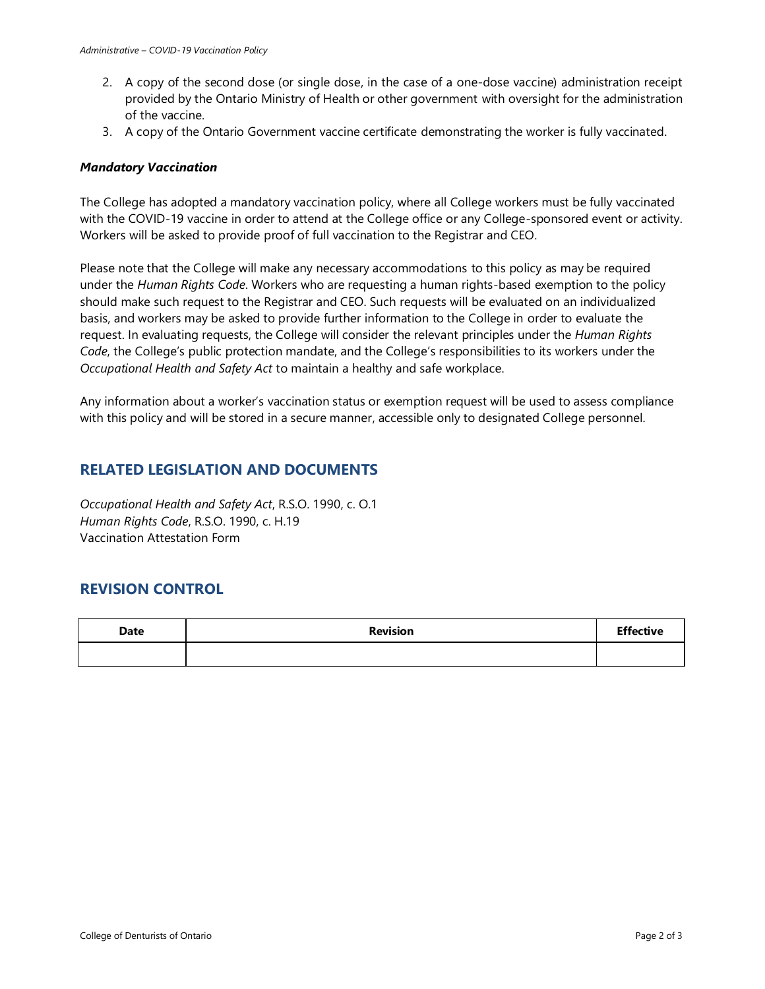- 2. A copy of the second dose (or single dose, in the case of a one-dose vaccine) administration receipt provided by the Ontario Ministry of Health or other government with oversight for the administration of the vaccine.
- 3. A copy of the Ontario Government vaccine certificate demonstrating the worker is fully vaccinated.

#### *Mandatory Vaccination*

The College has adopted a mandatory vaccination policy, where all College workers must be fully vaccinated with the COVID-19 vaccine in order to attend at the College office or any College-sponsored event or activity. Workers will be asked to provide proof of full vaccination to the Registrar and CEO.

Please note that the College will make any necessary accommodations to this policy as may be required under the *Human Rights Code*. Workers who are requesting a human rights-based exemption to the policy should make such request to the Registrar and CEO. Such requests will be evaluated on an individualized basis, and workers may be asked to provide further information to the College in order to evaluate the request. In evaluating requests, the College will consider the relevant principles under the *Human Rights Code*, the College's public protection mandate, and the College's responsibilities to its workers under the *Occupational Health and Safety Act* to maintain a healthy and safe workplace.

Any information about a worker's vaccination status or exemption request will be used to assess compliance with this policy and will be stored in a secure manner, accessible only to designated College personnel.

## **RELATED LEGISLATION AND DOCUMENTS**

*Occupational Health and Safety Act*, R.S.O. 1990, c. O.1 *Human Rights Code*, R.S.O. 1990, c. H.19 Vaccination Attestation Form

## **REVISION CONTROL**

| <b>Date</b> | <b>Revision</b> | <b>Effective</b> |
|-------------|-----------------|------------------|
|             |                 |                  |